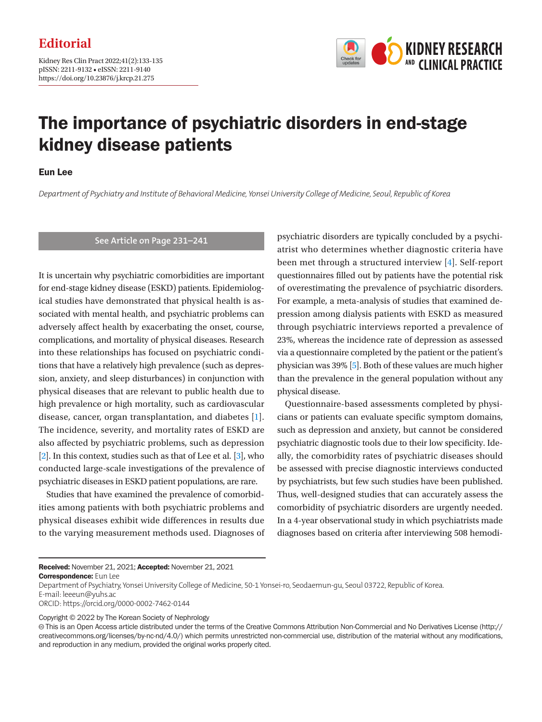Kidney Res Clin Pract 2022;41(2):133-135 pISSN: 2211-9132 • eISSN: 2211-9140 https://doi.org/10.23876/j.krcp.21.275



# The importance of psychiatric disorders in end-stage kidney disease patients

#### Eun Lee

*Department of Psychiatry and Institute of Behavioral Medicine, Yonsei University College of Medicine, Seoul, Republic of Korea*

## **See Article on Page 231–241**

It is uncertain why psychiatric comorbidities are important for end-stage kidney disease (ESKD) patients. Epidemiological studies have demonstrated that physical health is associated with mental health, and psychiatric problems can adversely affect health by exacerbating the onset, course, complications, and mortality of physical diseases. Research into these relationships has focused on psychiatric conditions that have a relatively high prevalence (such as depression, anxiety, and sleep disturbances) in conjunction with physical diseases that are relevant to public health due to high prevalence or high mortality, such as cardiovascular disease, cancer, organ transplantation, and diabetes [\[1\]](#page-2-0). The incidence, severity, and mortality rates of ESKD are also affected by psychiatric problems, such as depression [\[2](#page-2-1)]. In this context, studies such as that of Lee et al. [\[3\]](#page-2-2), who conducted large-scale investigations of the prevalence of psychiatric diseases in ESKD patient populations, are rare.

Studies that have examined the prevalence of comorbidities among patients with both psychiatric problems and physical diseases exhibit wide differences in results due to the varying measurement methods used. Diagnoses of psychiatric disorders are typically concluded by a psychiatrist who determines whether diagnostic criteria have been met through a structured interview [[4\]](#page-2-3). Self-report questionnaires filled out by patients have the potential risk of overestimating the prevalence of psychiatric disorders. For example, a meta-analysis of studies that examined depression among dialysis patients with ESKD as measured through psychiatric interviews reported a prevalence of 23%, whereas the incidence rate of depression as assessed via a questionnaire completed by the patient or the patient's physician was 39% [\[5\]](#page-2-1). Both of these values are much higher than the prevalence in the general population without any physical disease.

Questionnaire-based assessments completed by physicians or patients can evaluate specific symptom domains, such as depression and anxiety, but cannot be considered psychiatric diagnostic tools due to their low specificity. Ideally, the comorbidity rates of psychiatric diseases should be assessed with precise diagnostic interviews conducted by psychiatrists, but few such studies have been published. Thus, well-designed studies that can accurately assess the comorbidity of psychiatric disorders are urgently needed. In a 4-year observational study in which psychiatrists made diagnoses based on criteria after interviewing 508 hemodi-

Received: November 21, 2021; Accepted: November 21, 2021

Correspondence: Eun Lee

Department of Psychiatry, Yonsei University College of Medicine, 50-1 Yonsei-ro, Seodaemun-gu, Seoul 03722, Republic of Korea. E-mail: leeeun@yuhs.ac

ORCID: https://orcid.org/0000-0002-7462-0144

Copyright © 2022 by The Korean Society of Nephrology

This is an Open Access article distributed under the terms of the Creative Commons Attribution Non-Commercial and No Derivatives License (http:// creativecommons.org/licenses/by-nc-nd/4.0/) which permits unrestricted non-commercial use, distribution of the material without any modifications, and reproduction in any medium, provided the original works properly cited.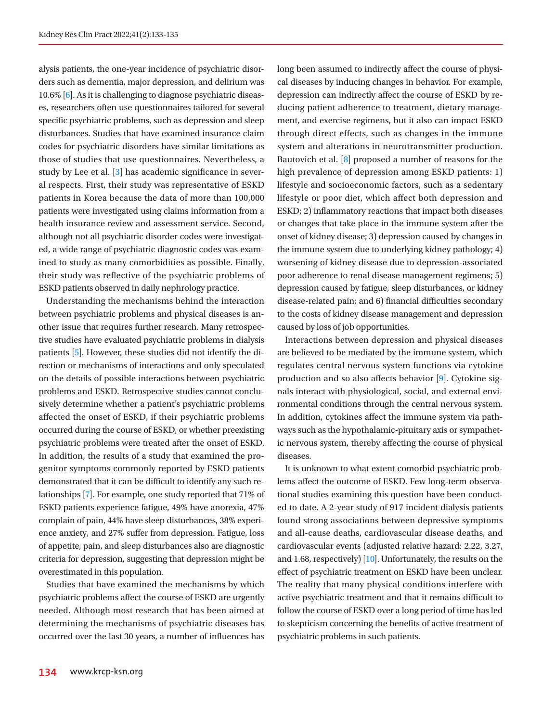alysis patients, the one-year incidence of psychiatric disorders such as dementia, major depression, and delirium was 10.6% [\[6\]](#page-2-4). As it is challenging to diagnose psychiatric diseases, researchers often use questionnaires tailored for several specific psychiatric problems, such as depression and sleep disturbances. Studies that have examined insurance claim codes for psychiatric disorders have similar limitations as those of studies that use questionnaires. Nevertheless, a study by Lee et al. [3] has academic significance in several respects. First, their study was representative of ESKD patients in Korea because the data of more than 100,000 patients were investigated using claims information from a health insurance review and assessment service. Second, although not all psychiatric disorder codes were investigated, a wide range of psychiatric diagnostic codes was examined to study as many comorbidities as possible. Finally, their study was reflective of the psychiatric problems of ESKD patients observed in daily nephrology practice.

Understanding the mechanisms behind the interaction between psychiatric problems and physical diseases is another issue that requires further research. Many retrospective studies have evaluated psychiatric problems in dialysis patients [5]. However, these studies did not identify the direction or mechanisms of interactions and only speculated on the details of possible interactions between psychiatric problems and ESKD. Retrospective studies cannot conclusively determine whether a patient's psychiatric problems affected the onset of ESKD, if their psychiatric problems occurred during the course of ESKD, or whether preexisting psychiatric problems were treated after the onset of ESKD. In addition, the results of a study that examined the progenitor symptoms commonly reported by ESKD patients demonstrated that it can be difficult to identify any such relationships [\[7\]](#page-2-5). For example, one study reported that 71% of ESKD patients experience fatigue, 49% have anorexia, 47% complain of pain, 44% have sleep disturbances, 38% experience anxiety, and 27% suffer from depression. Fatigue, loss of appetite, pain, and sleep disturbances also are diagnostic criteria for depression, suggesting that depression might be overestimated in this population.

Studies that have examined the mechanisms by which psychiatric problems affect the course of ESKD are urgently needed. Although most research that has been aimed at determining the mechanisms of psychiatric diseases has occurred over the last 30 years, a number of influences has long been assumed to indirectly affect the course of physical diseases by inducing changes in behavior. For example, depression can indirectly affect the course of ESKD by reducing patient adherence to treatment, dietary management, and exercise regimens, but it also can impact ESKD through direct effects, such as changes in the immune system and alterations in neurotransmitter production. Bautovich et al. [\[8\]](#page-2-6) proposed a number of reasons for the high prevalence of depression among ESKD patients: 1) lifestyle and socioeconomic factors, such as a sedentary lifestyle or poor diet, which affect both depression and ESKD; 2) inflammatory reactions that impact both diseases or changes that take place in the immune system after the onset of kidney disease; 3) depression caused by changes in the immune system due to underlying kidney pathology; 4) worsening of kidney disease due to depression-associated poor adherence to renal disease management regimens; 5) depression caused by fatigue, sleep disturbances, or kidney disease-related pain; and 6) financial difficulties secondary to the costs of kidney disease management and depression caused by loss of job opportunities.

Interactions between depression and physical diseases are believed to be mediated by the immune system, which regulates central nervous system functions via cytokine production and so also affects behavior [\[9\]](#page-2-7). Cytokine signals interact with physiological, social, and external environmental conditions through the central nervous system. In addition, cytokines affect the immune system via pathways such as the hypothalamic-pituitary axis or sympathetic nervous system, thereby affecting the course of physical diseases.

<span id="page-1-0"></span>It is unknown to what extent comorbid psychiatric problems affect the outcome of ESKD. Few long-term observational studies examining this question have been conducted to date. A 2-year study of 917 incident dialysis patients found strong associations between depressive symptoms and all-cause deaths, cardiovascular disease deaths, and cardiovascular events (adjusted relative hazard: 2.22, 3.27, and 1.68, respectively) [\[10\]](#page-2-8). Unfortunately, the results on the effect of psychiatric treatment on ESKD have been unclear. The reality that many physical conditions interfere with active psychiatric treatment and that it remains difficult to follow the course of ESKD over a long period of time has led to skepticism concerning the benefits of active treatment of psychiatric problems in such patients.